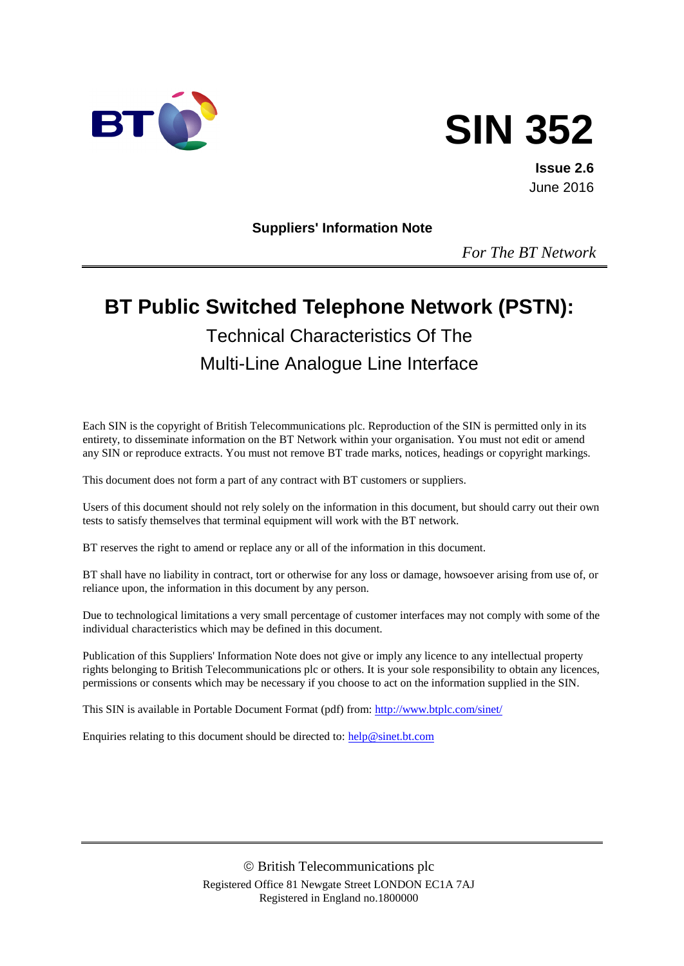



**Issue 2.6** June 2016

**Suppliers' Information Note**

*For The BT Network*

# **BT Public Switched Telephone Network (PSTN):** Technical Characteristics Of The Multi-Line Analogue Line Interface

Each SIN is the copyright of British Telecommunications plc. Reproduction of the SIN is permitted only in its entirety, to disseminate information on the BT Network within your organisation. You must not edit or amend any SIN or reproduce extracts. You must not remove BT trade marks, notices, headings or copyright markings.

This document does not form a part of any contract with BT customers or suppliers.

Users of this document should not rely solely on the information in this document, but should carry out their own tests to satisfy themselves that terminal equipment will work with the BT network.

BT reserves the right to amend or replace any or all of the information in this document.

BT shall have no liability in contract, tort or otherwise for any loss or damage, howsoever arising from use of, or reliance upon, the information in this document by any person.

Due to technological limitations a very small percentage of customer interfaces may not comply with some of the individual characteristics which may be defined in this document.

Publication of this Suppliers' Information Note does not give or imply any licence to any intellectual property rights belonging to British Telecommunications plc or others. It is your sole responsibility to obtain any licences, permissions or consents which may be necessary if you choose to act on the information supplied in the SIN.

This SIN is available in Portable Document Format (pdf) from[: http://www.btplc.com/sinet/](http://www.btplc.com/sinet/)

Enquiries relating to this document should be directed to: [help@sinet.bt.com](mailto:help@sinet.bt.com)

 British Telecommunications plc Registered Office 81 Newgate Street LONDON EC1A 7AJ Registered in England no.1800000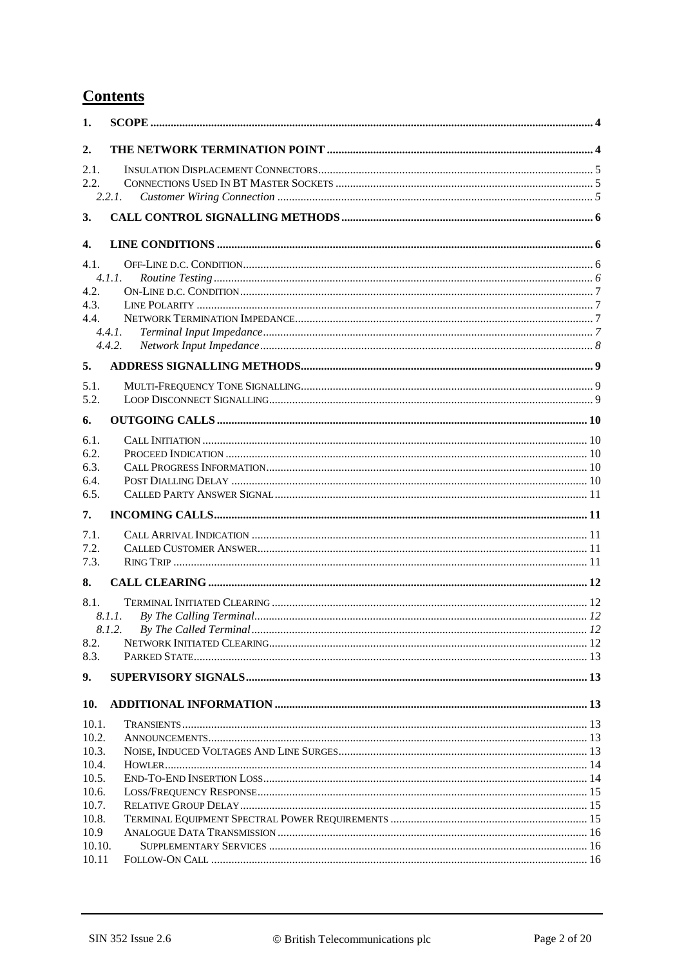# **Contents**

| 1.     |        |  |
|--------|--------|--|
| 2.     |        |  |
| 2.1.   |        |  |
| 2.2.   |        |  |
|        | 2.2.1. |  |
| 3.     |        |  |
| 4.     |        |  |
| 4.1.   |        |  |
|        | 4.1.1. |  |
| 4.2.   |        |  |
| 4.3.   |        |  |
| 4.4.   | 4.4.1. |  |
|        | 4.4.2. |  |
|        |        |  |
| 5.     |        |  |
| 5.1.   |        |  |
| 5.2.   |        |  |
| 6.     |        |  |
|        |        |  |
| 6.1.   |        |  |
| 6.2.   |        |  |
| 6.3.   |        |  |
| 6.4.   |        |  |
| 6.5.   |        |  |
| 7.     |        |  |
| 7.1.   |        |  |
| 7.2.   |        |  |
| 7.3.   |        |  |
| 8.     |        |  |
| 8.1.   |        |  |
|        | 8.1.1. |  |
|        |        |  |
| 8.2.   |        |  |
| 8.3.   |        |  |
| 9.     |        |  |
| 10.    |        |  |
| 10.1.  |        |  |
| 10.2.  |        |  |
| 10.3.  |        |  |
| 10.4.  |        |  |
| 10.5.  |        |  |
| 10.6.  |        |  |
| 10.7.  |        |  |
| 10.8.  |        |  |
| 10.9   |        |  |
| 10.10. |        |  |
| 10.11  |        |  |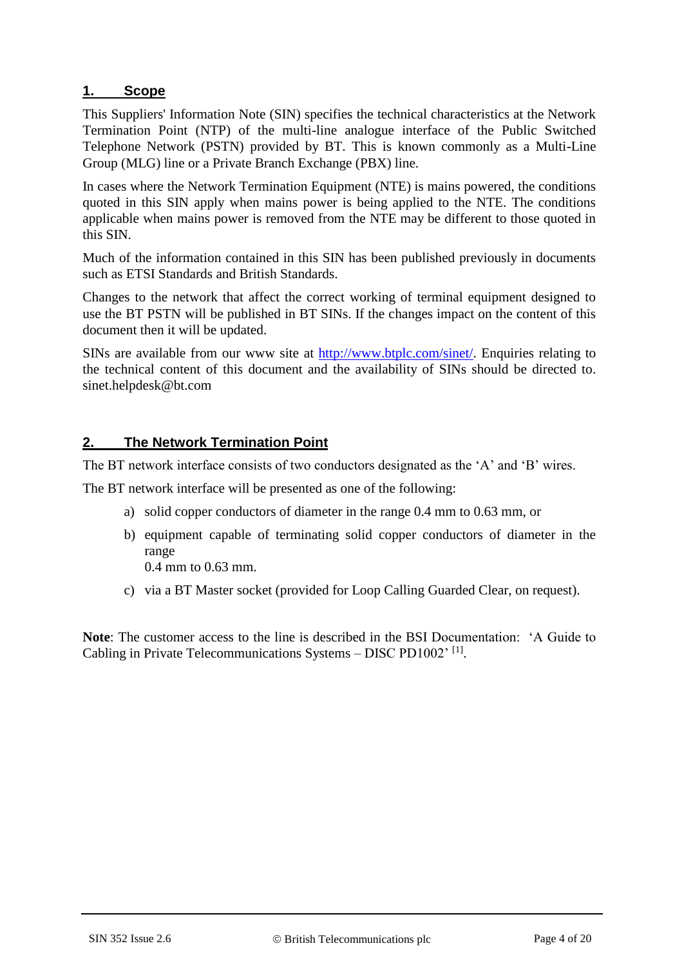#### **1. Scope**

This Suppliers' Information Note (SIN) specifies the technical characteristics at the Network Termination Point (NTP) of the multi-line analogue interface of the Public Switched Telephone Network (PSTN) provided by BT. This is known commonly as a Multi-Line Group (MLG) line or a Private Branch Exchange (PBX) line.

In cases where the Network Termination Equipment (NTE) is mains powered, the conditions quoted in this SIN apply when mains power is being applied to the NTE. The conditions applicable when mains power is removed from the NTE may be different to those quoted in this SIN.

Much of the information contained in this SIN has been published previously in documents such as ETSI Standards and British Standards.

Changes to the network that affect the correct working of terminal equipment designed to use the BT PSTN will be published in BT SINs. If the changes impact on the content of this document then it will be updated.

SINs are available from our www site at [http://www.btplc.com/sinet/.](http://www.btplc.com/sinet/) Enquiries relating to the technical content of this document and the availability of SINs should be directed to. sinet.helpdesk@bt.com

## **2. The Network Termination Point**

The BT network interface consists of two conductors designated as the 'A' and 'B' wires.

The BT network interface will be presented as one of the following:

- a) solid copper conductors of diameter in the range 0.4 mm to 0.63 mm, or
- b) equipment capable of terminating solid copper conductors of diameter in the range

0.4 mm to 0.63 mm.

c) via a BT Master socket (provided for Loop Calling Guarded Clear, on request).

**Note**: The customer access to the line is described in the BSI Documentation: 'A Guide to Cabling in Private Telecommunications Systems - DISC PD1002'<sup>[\[1\]](#page-16-0)</sup>.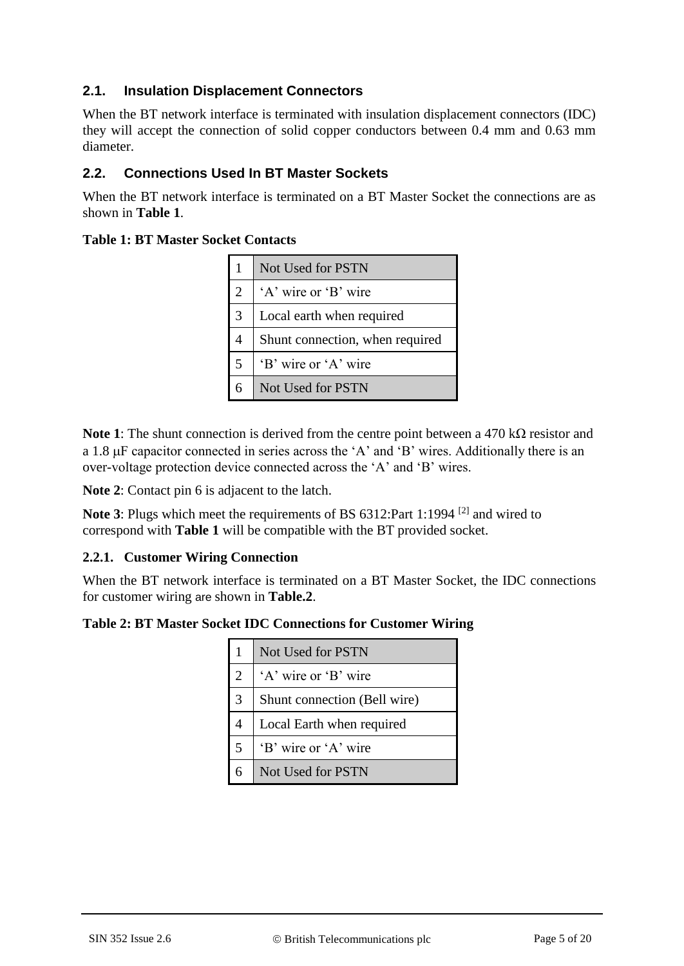## **2.1. Insulation Displacement Connectors**

When the BT network interface is terminated with insulation displacement connectors (IDC) they will accept the connection of solid copper conductors between 0.4 mm and 0.63 mm diameter.

## **2.2. Connections Used In BT Master Sockets**

When the BT network interface is terminated on a BT Master Socket the connections are as shown in **Table 1**.

#### **Table 1: BT Master Socket Contacts**

|               | Not Used for PSTN               |
|---------------|---------------------------------|
| 2             | 'A' wire or 'B' wire            |
| $\mathcal{R}$ | Local earth when required       |
|               | Shunt connection, when required |
| 5             | 'B' wire or 'A' wire            |
|               | Not Used for PSTN               |

**Note 1**: The shunt connection is derived from the centre point between a 470 kΩ resistor and a 1.8  $\mu$ F capacitor connected in series across the 'A' and 'B' wires. Additionally there is an over-voltage protection device connected across the 'A' and 'B' wires.

**Note 2**: Contact pin 6 is adjacent to the latch.

**Note 3**: Plugs which meet the requirements of BS 6312:Part 1:1994<sup>[\[2\]](#page-16-1)</sup> and wired to correspond with **Table 1** will be compatible with the BT provided socket.

#### **2.2.1. Customer Wiring Connection**

When the BT network interface is terminated on a BT Master Socket, the IDC connections for customer wiring are shown in **Table.2**.

#### **Table 2: BT Master Socket IDC Connections for Customer Wiring**

|                | Not Used for PSTN            |
|----------------|------------------------------|
| $\overline{2}$ | 'A' wire or 'B' wire         |
| 3              | Shunt connection (Bell wire) |
| 4              | Local Earth when required    |
| 5              | 'B' wire or 'A' wire         |
| 6              | Not Used for PSTN            |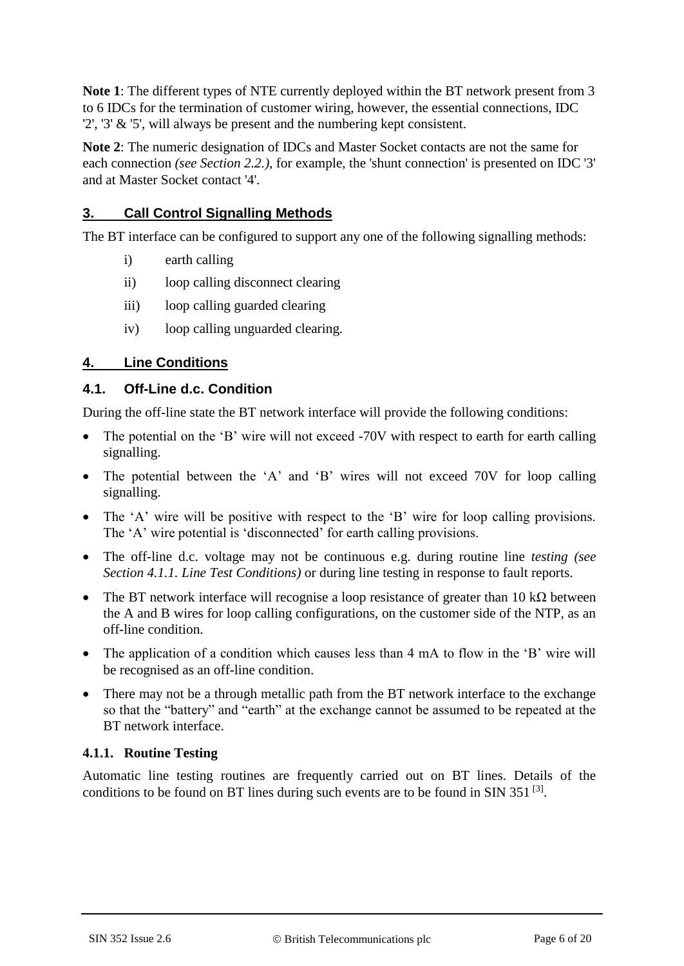**Note 1**: The different types of NTE currently deployed within the BT network present from 3 to 6 IDCs for the termination of customer wiring, however, the essential connections, IDC '2', '3' & '5', will always be present and the numbering kept consistent.

**Note 2**: The numeric designation of IDCs and Master Socket contacts are not the same for each connection *(see Section 2.2.)*, for example, the 'shunt connection' is presented on IDC '3' and at Master Socket contact '4'.

#### **3. Call Control Signalling Methods**

The BT interface can be configured to support any one of the following signalling methods:

- i) earth calling
- ii) loop calling disconnect clearing
- iii) loop calling guarded clearing
- iv) loop calling unguarded clearing.

#### **4. Line Conditions**

#### **4.1. Off-Line d.c. Condition**

During the off-line state the BT network interface will provide the following conditions:

- The potential on the 'B' wire will not exceed -70V with respect to earth for earth calling signalling.
- The potential between the 'A' and 'B' wires will not exceed 70V for loop calling signalling.
- The 'A' wire will be positive with respect to the 'B' wire for loop calling provisions. The 'A' wire potential is 'disconnected' for earth calling provisions.
- The off-line d.c. voltage may not be continuous e.g. during routine line *testing (see Section 4.1.1. Line Test Conditions)* or during line testing in response to fault reports.
- The BT network interface will recognise a loop resistance of greater than 10 k $\Omega$  between the A and B wires for loop calling configurations, on the customer side of the NTP, as an off-line condition.
- The application of a condition which causes less than 4 mA to flow in the 'B' wire will be recognised as an off-line condition.
- There may not be a through metallic path from the BT network interface to the exchange so that the "battery" and "earth" at the exchange cannot be assumed to be repeated at the BT network interface.

#### **4.1.1. Routine Testing**

Automatic line testing routines are frequently carried out on BT lines. Details of the conditions to be found on BT lines during such events are to be found in SIN  $351^{[3]}$  $351^{[3]}$  $351^{[3]}$ .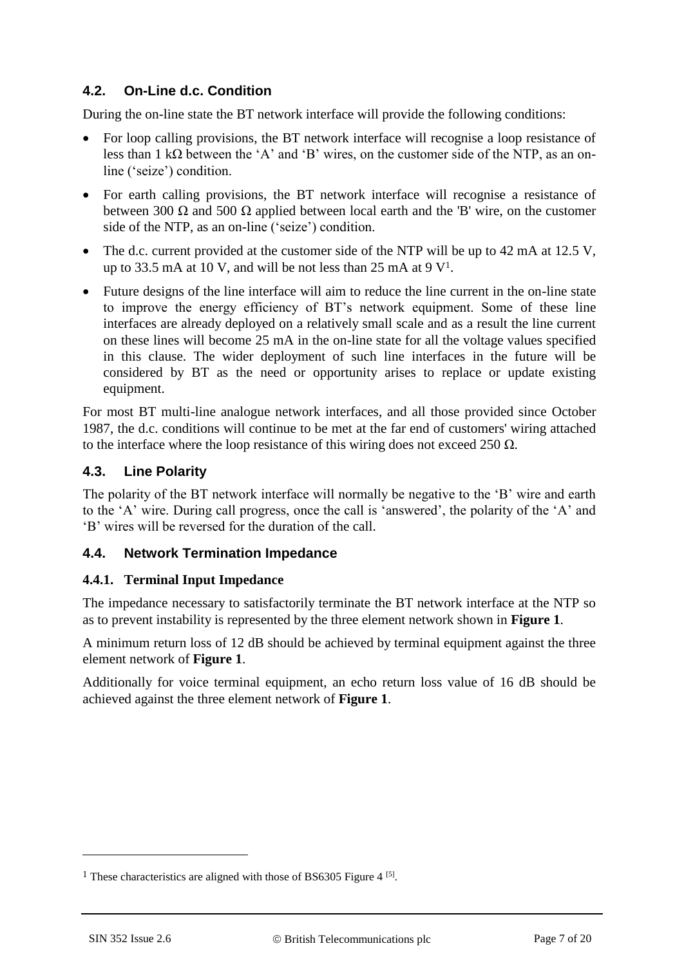## **4.2. On-Line d.c. Condition**

During the on-line state the BT network interface will provide the following conditions:

- For loop calling provisions, the BT network interface will recognise a loop resistance of less than 1 kΩ between the 'A' and 'B' wires, on the customer side of the NTP, as an online ('seize') condition.
- For earth calling provisions, the BT network interface will recognise a resistance of between 300  $\Omega$  and 500  $\Omega$  applied between local earth and the 'B' wire, on the customer side of the NTP, as an on-line ('seize') condition.
- The d.c. current provided at the customer side of the NTP will be up to 42 mA at 12.5 V, up to 33.5 mA at 10 V, and will be not less than 25 mA at 9  $V^1$ .
- Future designs of the line interface will aim to reduce the line current in the on-line state to improve the energy efficiency of BT's network equipment. Some of these line interfaces are already deployed on a relatively small scale and as a result the line current on these lines will become 25 mA in the on-line state for all the voltage values specified in this clause. The wider deployment of such line interfaces in the future will be considered by BT as the need or opportunity arises to replace or update existing equipment.

For most BT multi-line analogue network interfaces, and all those provided since October 1987, the d.c. conditions will continue to be met at the far end of customers' wiring attached to the interface where the loop resistance of this wiring does not exceed 250  $\Omega$ .

## **4.3. Line Polarity**

The polarity of the BT network interface will normally be negative to the 'B' wire and earth to the 'A' wire. During call progress, once the call is 'answered', the polarity of the 'A' and 'B' wires will be reversed for the duration of the call.

## **4.4. Network Termination Impedance**

#### **4.4.1. Terminal Input Impedance**

The impedance necessary to satisfactorily terminate the BT network interface at the NTP so as to prevent instability is represented by the three element network shown in **Figure 1**.

A minimum return loss of 12 dB should be achieved by terminal equipment against the three element network of **Figure 1**.

Additionally for voice terminal equipment, an echo return loss value of 16 dB should be achieved against the three element network of **Figure 1**.

1

<sup>&</sup>lt;sup>1</sup> These characteristics are aligned with those of BS6305 Figure  $4^{5}$ .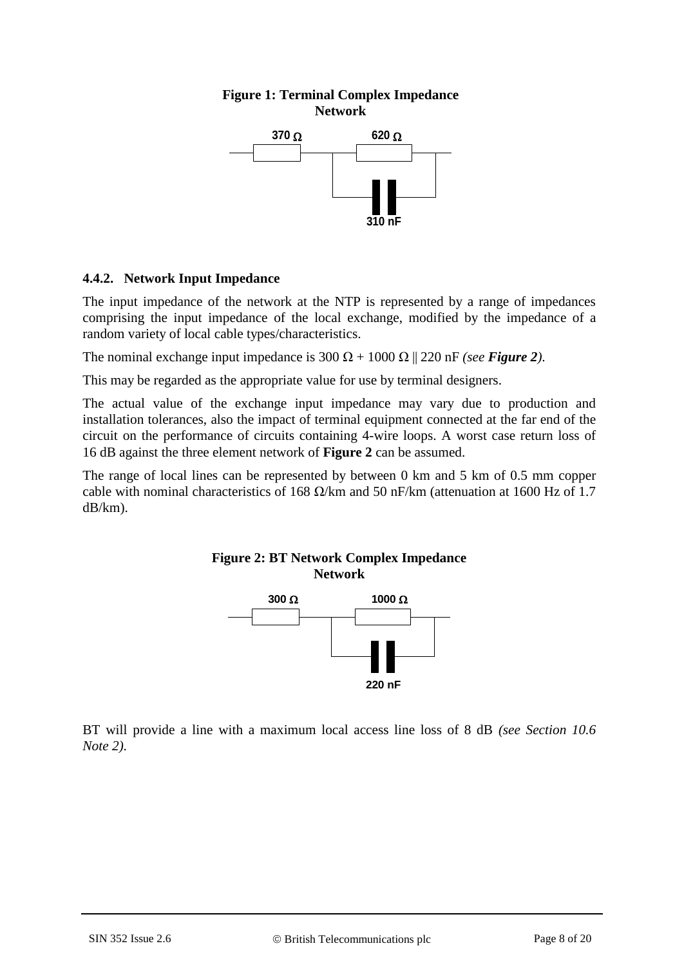#### **Figure 1: Terminal Complex Impedance Network**



#### **4.4.2. Network Input Impedance**

The input impedance of the network at the NTP is represented by a range of impedances comprising the input impedance of the local exchange, modified by the impedance of a random variety of local cable types/characteristics.

The nominal exchange input impedance is  $300 \Omega + 1000 \Omega$  || 220 nF *(see Figure 2)*.

This may be regarded as the appropriate value for use by terminal designers.

The actual value of the exchange input impedance may vary due to production and installation tolerances, also the impact of terminal equipment connected at the far end of the circuit on the performance of circuits containing 4-wire loops. A worst case return loss of 16 dB against the three element network of **Figure 2** can be assumed.

The range of local lines can be represented by between 0 km and 5 km of 0.5 mm copper cable with nominal characteristics of 168  $\Omega$ /km and 50 nF/km (attenuation at 1600 Hz of 1.7 dB/km).

#### **Figure 2: BT Network Complex Impedance Network**



BT will provide a line with a maximum local access line loss of 8 dB *(see Section 10.6 Note 2)*.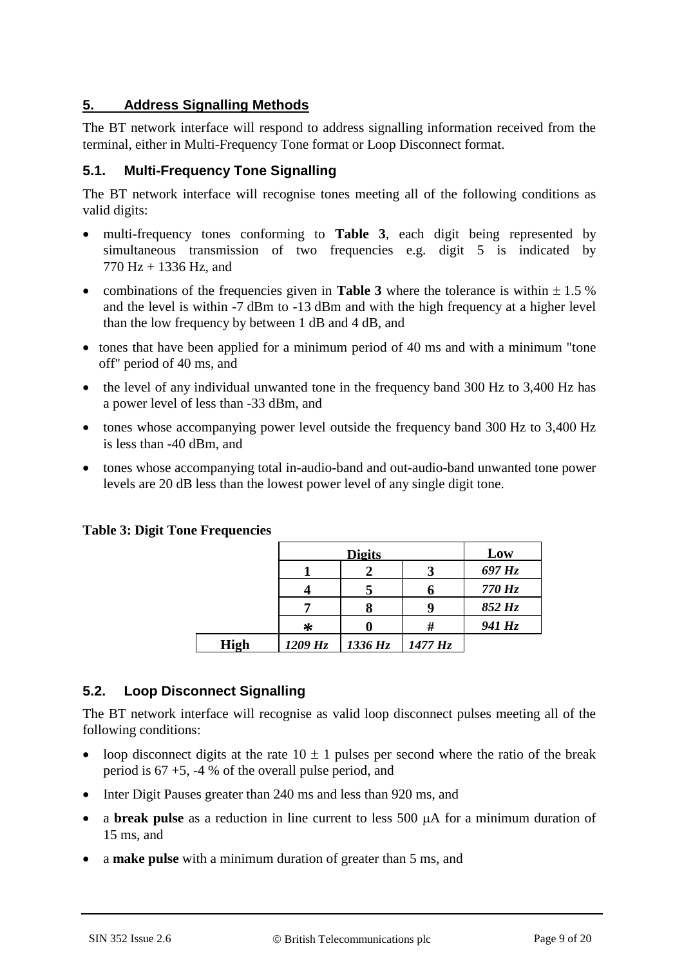## **5. Address Signalling Methods**

The BT network interface will respond to address signalling information received from the terminal, either in Multi-Frequency Tone format or Loop Disconnect format.

#### **5.1. Multi-Frequency Tone Signalling**

The BT network interface will recognise tones meeting all of the following conditions as valid digits:

- multi-frequency tones conforming to **Table 3**, each digit being represented by simultaneous transmission of two frequencies e.g. digit 5 is indicated by 770 Hz + 1336 Hz, and
- combinations of the frequencies given in **Table 3** where the tolerance is within  $\pm 1.5$  % and the level is within -7 dBm to -13 dBm and with the high frequency at a higher level than the low frequency by between 1 dB and 4 dB, and
- tones that have been applied for a minimum period of 40 ms and with a minimum "tone" off" period of 40 ms, and
- the level of any individual unwanted tone in the frequency band 300 Hz to 3,400 Hz has a power level of less than -33 dBm, and
- tones whose accompanying power level outside the frequency band 300 Hz to 3,400 Hz is less than -40 dBm, and
- tones whose accompanying total in-audio-band and out-audio-band unwanted tone power levels are 20 dB less than the lowest power level of any single digit tone.

#### **Table 3: Digit Tone Frequencies**

|             |            | <b>Digits</b> |            | Low        |
|-------------|------------|---------------|------------|------------|
|             |            |               |            | $697\,Hz$  |
|             |            |               |            | $770\,$ Hz |
|             |            |               |            | $852\,Hz$  |
|             | ∗          |               |            | 941 Hz     |
| <b>High</b> | $1209\,Hz$ | 1336 Hz       | $1477\,Hz$ |            |

## **5.2. Loop Disconnect Signalling**

The BT network interface will recognise as valid loop disconnect pulses meeting all of the following conditions:

- loop disconnect digits at the rate  $10 \pm 1$  pulses per second where the ratio of the break period is 67 +5, -4 % of the overall pulse period, and
- Inter Digit Pauses greater than 240 ms and less than 920 ms, and
- a **break pulse** as a reduction in line current to less 500  $\mu$ A for a minimum duration of 15 ms, and
- a make pulse with a minimum duration of greater than 5 ms, and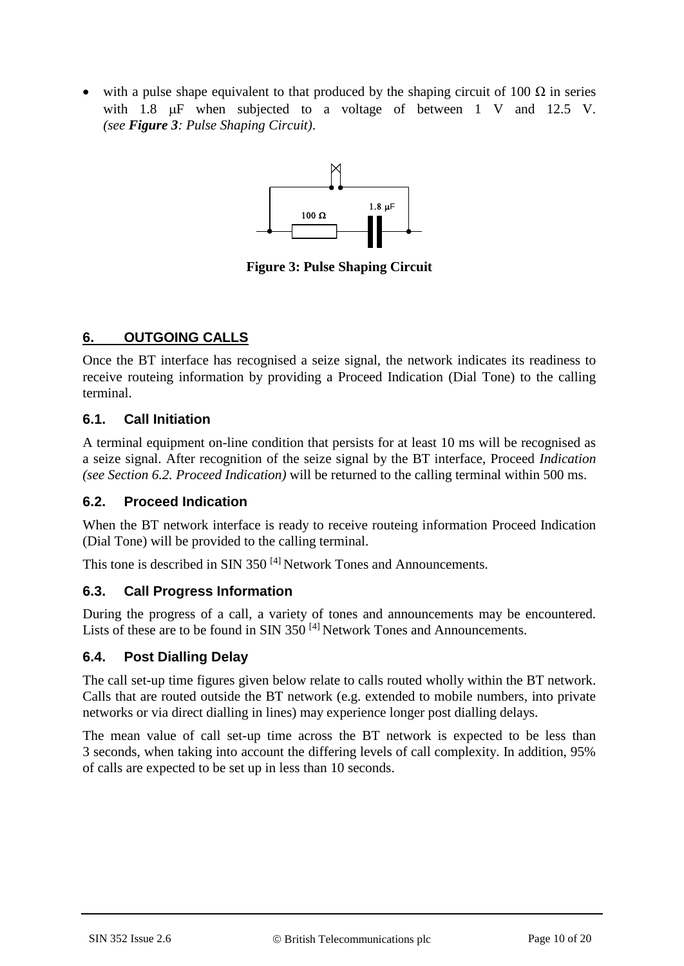with a pulse shape equivalent to that produced by the shaping circuit of 100  $\Omega$  in series with 1.8  $\mu$ F when subjected to a voltage of between 1 V and 12.5 V. *(see Figure 3: Pulse Shaping Circuit)*.



**Figure 3: Pulse Shaping Circuit**

#### **6. OUTGOING CALLS**

Once the BT interface has recognised a seize signal, the network indicates its readiness to receive routeing information by providing a Proceed Indication (Dial Tone) to the calling terminal.

#### **6.1. Call Initiation**

A terminal equipment on-line condition that persists for at least 10 ms will be recognised as a seize signal. After recognition of the seize signal by the BT interface, Proceed *Indication (see Section 6.2. Proceed Indication)* will be returned to the calling terminal within 500 ms.

#### **6.2. Proceed Indication**

When the BT network interface is ready to receive routeing information Proceed Indication (Dial Tone) will be provided to the calling terminal.

This tone is described in SIN 350<sup>[\[4\]](#page-16-4)</sup> Network Tones and Announcements.

## **6.3. Call Progress Information**

During the progress of a call, a variety of tones and announcements may be encountered. Lists of these are to be found in SIN 350<sup>[\[4\]](#page-16-4)</sup> Network Tones and Announcements.

## **6.4. Post Dialling Delay**

The call set-up time figures given below relate to calls routed wholly within the BT network. Calls that are routed outside the BT network (e.g. extended to mobile numbers, into private networks or via direct dialling in lines) may experience longer post dialling delays.

The mean value of call set-up time across the BT network is expected to be less than 3 seconds, when taking into account the differing levels of call complexity. In addition, 95% of calls are expected to be set up in less than 10 seconds.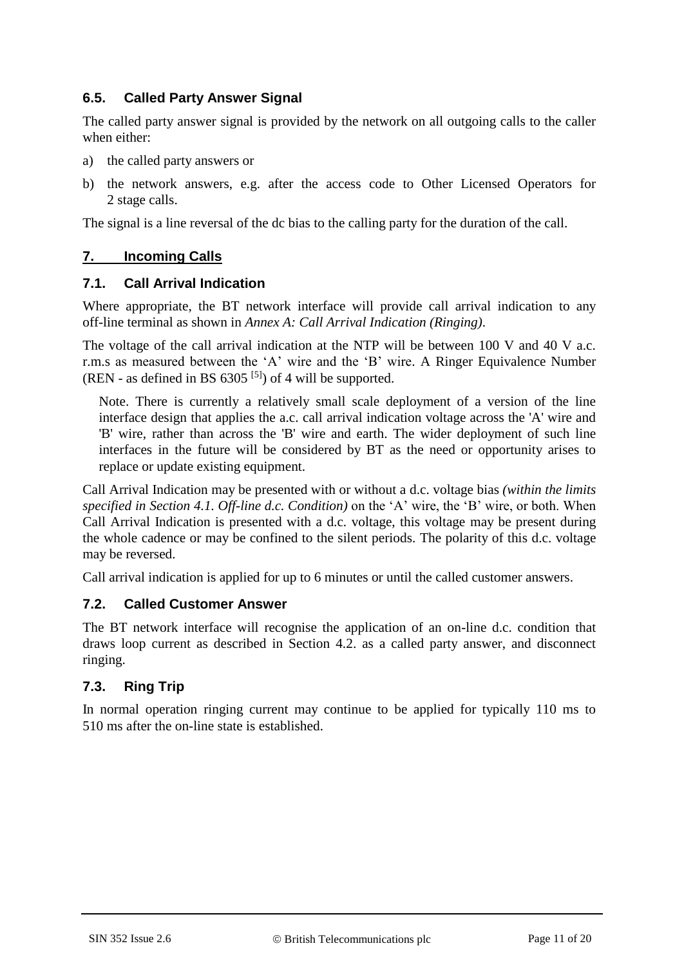## **6.5. Called Party Answer Signal**

The called party answer signal is provided by the network on all outgoing calls to the caller when either:

- a) the called party answers or
- b) the network answers, e.g. after the access code to Other Licensed Operators for 2 stage calls.

The signal is a line reversal of the dc bias to the calling party for the duration of the call.

# **7. Incoming Calls**

#### **7.1. Call Arrival Indication**

Where appropriate, the BT network interface will provide call arrival indication to any off-line terminal as shown in *Annex A: Call Arrival Indication (Ringing)*.

The voltage of the call arrival indication at the NTP will be between 100 V and 40 V a.c. r.m.s as measured between the 'A' wire and the 'B' wire. A Ringer Equivalence Number (REN - as defined in BS  $6305$ <sup>[\[5\]](#page-16-3)</sup>) of 4 will be supported.

Note. There is currently a relatively small scale deployment of a version of the line interface design that applies the a.c. call arrival indication voltage across the 'A' wire and 'B' wire, rather than across the 'B' wire and earth. The wider deployment of such line interfaces in the future will be considered by BT as the need or opportunity arises to replace or update existing equipment.

Call Arrival Indication may be presented with or without a d.c. voltage bias *(within the limits specified in Section 4.1. Off-line d.c. Condition)* on the 'A' wire, the 'B' wire, or both. When Call Arrival Indication is presented with a d.c. voltage, this voltage may be present during the whole cadence or may be confined to the silent periods. The polarity of this d.c. voltage may be reversed.

Call arrival indication is applied for up to 6 minutes or until the called customer answers.

## **7.2. Called Customer Answer**

The BT network interface will recognise the application of an on-line d.c. condition that draws loop current as described in Section 4.2. as a called party answer, and disconnect ringing.

## **7.3. Ring Trip**

In normal operation ringing current may continue to be applied for typically 110 ms to 510 ms after the on-line state is established.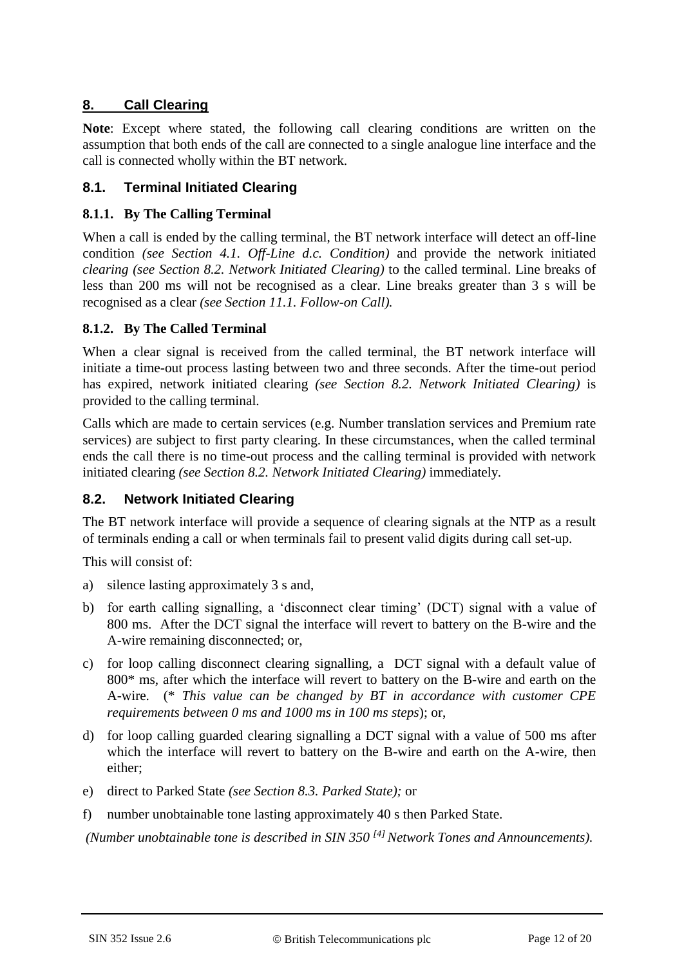# **8. Call Clearing**

**Note**: Except where stated, the following call clearing conditions are written on the assumption that both ends of the call are connected to a single analogue line interface and the call is connected wholly within the BT network.

#### **8.1. Terminal Initiated Clearing**

#### **8.1.1. By The Calling Terminal**

When a call is ended by the calling terminal, the BT network interface will detect an off-line condition *(see Section 4.1. Off-Line d.c. Condition)* and provide the network initiated *clearing (see Section 8.2. Network Initiated Clearing)* to the called terminal. Line breaks of less than 200 ms will not be recognised as a clear. Line breaks greater than 3 s will be recognised as a clear *(see Section 11.1. Follow-on Call).*

#### **8.1.2. By The Called Terminal**

When a clear signal is received from the called terminal, the BT network interface will initiate a time-out process lasting between two and three seconds. After the time-out period has expired, network initiated clearing *(see Section 8.2. Network Initiated Clearing)* is provided to the calling terminal.

Calls which are made to certain services (e.g. Number translation services and Premium rate services) are subject to first party clearing. In these circumstances, when the called terminal ends the call there is no time-out process and the calling terminal is provided with network initiated clearing *(see Section 8.2. Network Initiated Clearing)* immediately.

## **8.2. Network Initiated Clearing**

The BT network interface will provide a sequence of clearing signals at the NTP as a result of terminals ending a call or when terminals fail to present valid digits during call set-up.

This will consist of:

- a) silence lasting approximately 3 s and,
- b) for earth calling signalling, a 'disconnect clear timing' (DCT) signal with a value of 800 ms. After the DCT signal the interface will revert to battery on the B-wire and the A-wire remaining disconnected; or,
- c) for loop calling disconnect clearing signalling, a DCT signal with a default value of 800\* ms, after which the interface will revert to battery on the B-wire and earth on the A-wire. (\* *This value can be changed by BT in accordance with customer CPE requirements between 0 ms and 1000 ms in 100 ms steps*); or,
- d) for loop calling guarded clearing signalling a DCT signal with a value of 500 ms after which the interface will revert to battery on the B-wire and earth on the A-wire, then either;
- e) direct to Parked State *(see Section 8.3. Parked State);* or
- f) number unobtainable tone lasting approximately 40 s then Parked State.

*(Number unobtainable tone is described in SIN 350 [\[4\]](#page-16-4) Network Tones and Announcements).*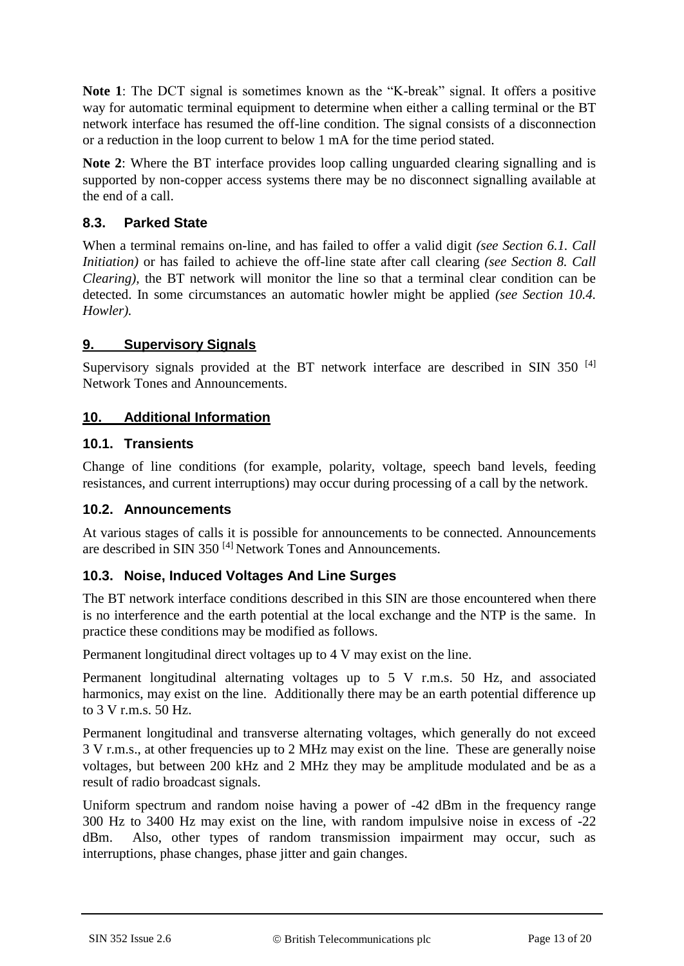**Note 1**: The DCT signal is sometimes known as the "K-break" signal. It offers a positive way for automatic terminal equipment to determine when either a calling terminal or the BT network interface has resumed the off-line condition. The signal consists of a disconnection or a reduction in the loop current to below 1 mA for the time period stated.

**Note 2**: Where the BT interface provides loop calling unguarded clearing signalling and is supported by non-copper access systems there may be no disconnect signalling available at the end of a call.

#### **8.3. Parked State**

When a terminal remains on-line, and has failed to offer a valid digit *(see Section 6.1. Call Initiation)* or has failed to achieve the off-line state after call clearing *(see Section 8. Call Clearing),* the BT network will monitor the line so that a terminal clear condition can be detected. In some circumstances an automatic howler might be applied *(see Section 10.4. Howler).*

#### **9. Supervisory Signals**

Supervisory signals provided at the BT network interface are described in SIN 350<sup>[\[4\]](#page-16-4)</sup> Network Tones and Announcements.

#### **10. Additional Information**

#### **10.1. Transients**

Change of line conditions (for example, polarity, voltage, speech band levels, feeding resistances, and current interruptions) may occur during processing of a call by the network.

#### **10.2. Announcements**

At various stages of calls it is possible for announcements to be connected. Announcements are described in SIN 350<sup>[\[4\]](#page-16-4)</sup> Network Tones and Announcements.

#### **10.3. Noise, Induced Voltages And Line Surges**

The BT network interface conditions described in this SIN are those encountered when there is no interference and the earth potential at the local exchange and the NTP is the same. In practice these conditions may be modified as follows.

Permanent longitudinal direct voltages up to 4 V may exist on the line.

Permanent longitudinal alternating voltages up to 5 V r.m.s. 50 Hz, and associated harmonics, may exist on the line. Additionally there may be an earth potential difference up to 3 V r.m.s. 50 Hz.

Permanent longitudinal and transverse alternating voltages, which generally do not exceed 3 V r.m.s., at other frequencies up to 2 MHz may exist on the line. These are generally noise voltages, but between 200 kHz and 2 MHz they may be amplitude modulated and be as a result of radio broadcast signals.

Uniform spectrum and random noise having a power of -42 dBm in the frequency range 300 Hz to 3400 Hz may exist on the line, with random impulsive noise in excess of -22 dBm. Also, other types of random transmission impairment may occur, such as interruptions, phase changes, phase jitter and gain changes.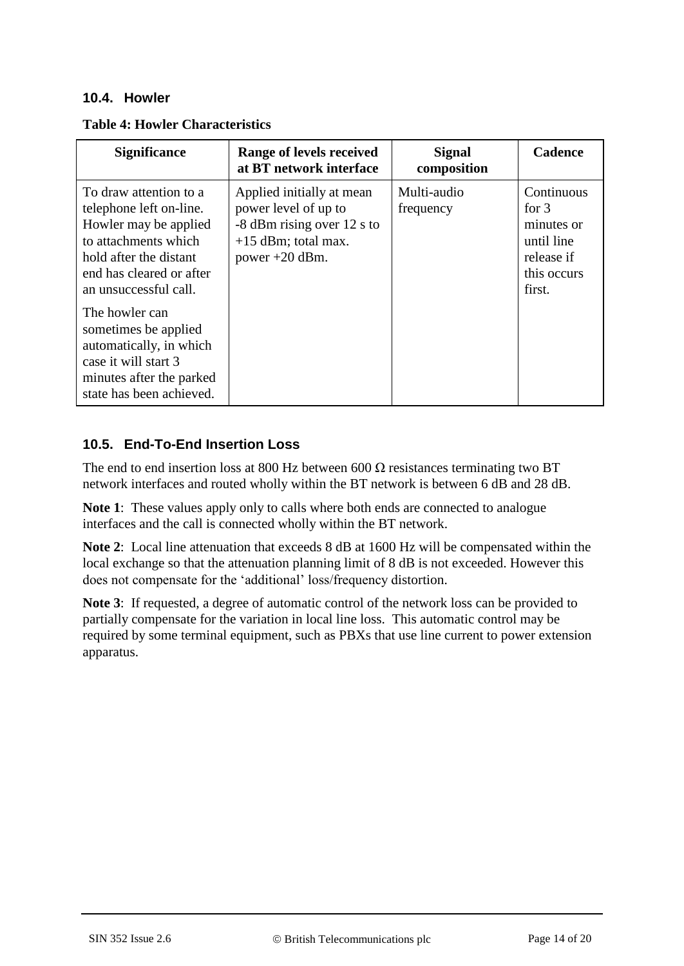#### **10.4. Howler**

| <b>Table 4: Howler Characteristics</b> |  |  |  |
|----------------------------------------|--|--|--|
|----------------------------------------|--|--|--|

| <b>Significance</b>                                                                                                                                                                                                                                                                                                                    | Range of levels received<br>at BT network interface                                                                          | <b>Signal</b><br>composition | <b>Cadence</b>                                                                           |
|----------------------------------------------------------------------------------------------------------------------------------------------------------------------------------------------------------------------------------------------------------------------------------------------------------------------------------------|------------------------------------------------------------------------------------------------------------------------------|------------------------------|------------------------------------------------------------------------------------------|
| To draw attention to a<br>telephone left on-line.<br>Howler may be applied<br>to attachments which<br>hold after the distant<br>end has cleared or after<br>an unsuccessful call.<br>The howler can<br>sometimes be applied<br>automatically, in which<br>case it will start 3<br>minutes after the parked<br>state has been achieved. | Applied initially at mean<br>power level of up to<br>-8 dBm rising over 12 s to<br>$+15$ dBm; total max.<br>power $+20$ dBm. | Multi-audio<br>frequency     | Continuous<br>for $3$<br>minutes or<br>until line<br>release if<br>this occurs<br>first. |

# **10.5. End-To-End Insertion Loss**

The end to end insertion loss at 800 Hz between 600  $\Omega$  resistances terminating two BT network interfaces and routed wholly within the BT network is between 6 dB and 28 dB.

**Note 1**: These values apply only to calls where both ends are connected to analogue interfaces and the call is connected wholly within the BT network.

**Note 2**: Local line attenuation that exceeds 8 dB at 1600 Hz will be compensated within the local exchange so that the attenuation planning limit of 8 dB is not exceeded. However this does not compensate for the 'additional' loss/frequency distortion.

Note 3: If requested, a degree of automatic control of the network loss can be provided to partially compensate for the variation in local line loss. This automatic control may be required by some terminal equipment, such as PBXs that use line current to power extension apparatus.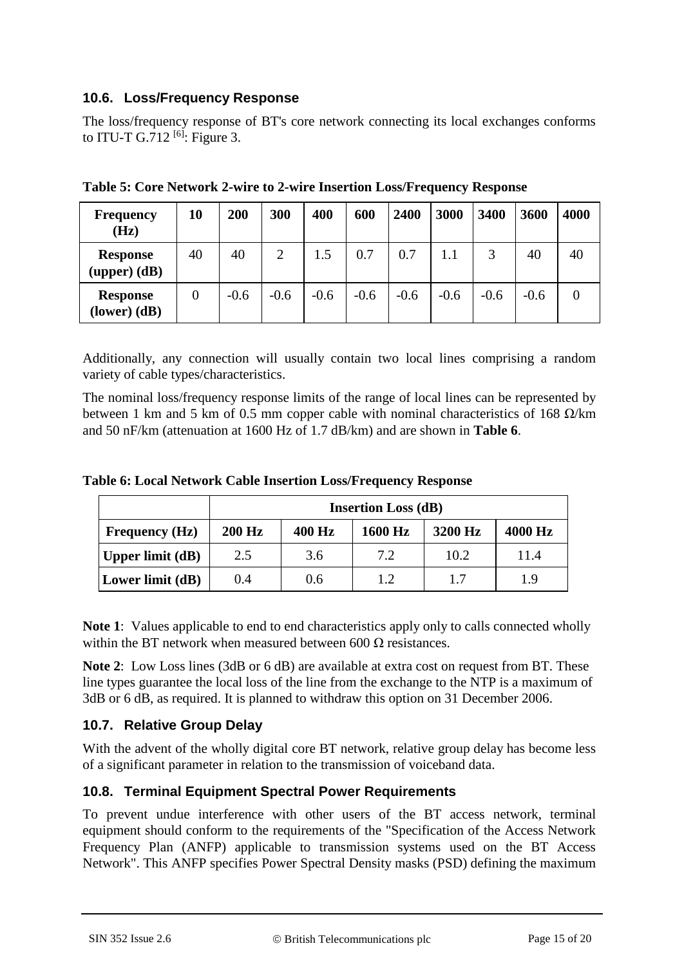## **10.6. Loss/Frequency Response**

The loss/frequency response of BT's core network connecting its local exchanges conforms to ITU-T G.712<sup>[\[6\]](#page-16-5)</sup>: Figure 3.

| <b>Frequency</b><br>(Hz)            | 10             | 200    | 300    | 400    | 600    | 2400   | 3000   | 3400   | 3600   | 4000 |
|-------------------------------------|----------------|--------|--------|--------|--------|--------|--------|--------|--------|------|
| <b>Response</b><br>$(upper)$ $(dB)$ | 40             | 40     | 2      | 1.5    | 0.7    | 0.7    |        |        | 40     | 40   |
| <b>Response</b><br>$lower (dB)$     | $\overline{0}$ | $-0.6$ | $-0.6$ | $-0.6$ | $-0.6$ | $-0.6$ | $-0.6$ | $-0.6$ | $-0.6$ |      |

|  |  | Table 5: Core Network 2-wire to 2-wire Insertion Loss/Frequency Response |  |
|--|--|--------------------------------------------------------------------------|--|
|  |  |                                                                          |  |

Additionally, any connection will usually contain two local lines comprising a random variety of cable types/characteristics.

The nominal loss/frequency response limits of the range of local lines can be represented by between 1 km and 5 km of 0.5 mm copper cable with nominal characteristics of 168  $\Omega$ /km and 50 nF/km (attenuation at 1600 Hz of 1.7 dB/km) and are shown in **Table 6**.

|                       | <b>Insertion Loss (dB)</b> |        |         |         |         |  |  |  |
|-----------------------|----------------------------|--------|---------|---------|---------|--|--|--|
| <b>Frequency</b> (Hz) | <b>200 Hz</b>              | 400 Hz | 1600 Hz | 3200 Hz | 4000 Hz |  |  |  |
| Upper limit $(dB)$    | 2.5                        | 3.6    | 7.2     | 10.2    | 11.4    |  |  |  |

**Lower limit (dB)**  $\begin{array}{|c|c|c|c|c|} \hline 0.4 & 0.6 & 1.2 & 1.7 & 1.9 \ \hline \end{array}$ 

**Table 6: Local Network Cable Insertion Loss/Frequency Response**

**Note 1**: Values applicable to end to end characteristics apply only to calls connected wholly within the BT network when measured between 600  $\Omega$  resistances.

**Note 2**: Low Loss lines (3dB or 6 dB) are available at extra cost on request from BT. These line types guarantee the local loss of the line from the exchange to the NTP is a maximum of 3dB or 6 dB, as required. It is planned to withdraw this option on 31 December 2006.

## **10.7. Relative Group Delay**

With the advent of the wholly digital core BT network, relative group delay has become less of a significant parameter in relation to the transmission of voiceband data.

## **10.8. Terminal Equipment Spectral Power Requirements**

To prevent undue interference with other users of the BT access network, terminal equipment should conform to the requirements of the "Specification of the Access Network Frequency Plan (ANFP) applicable to transmission systems used on the BT Access Network". This ANFP specifies Power Spectral Density masks (PSD) defining the maximum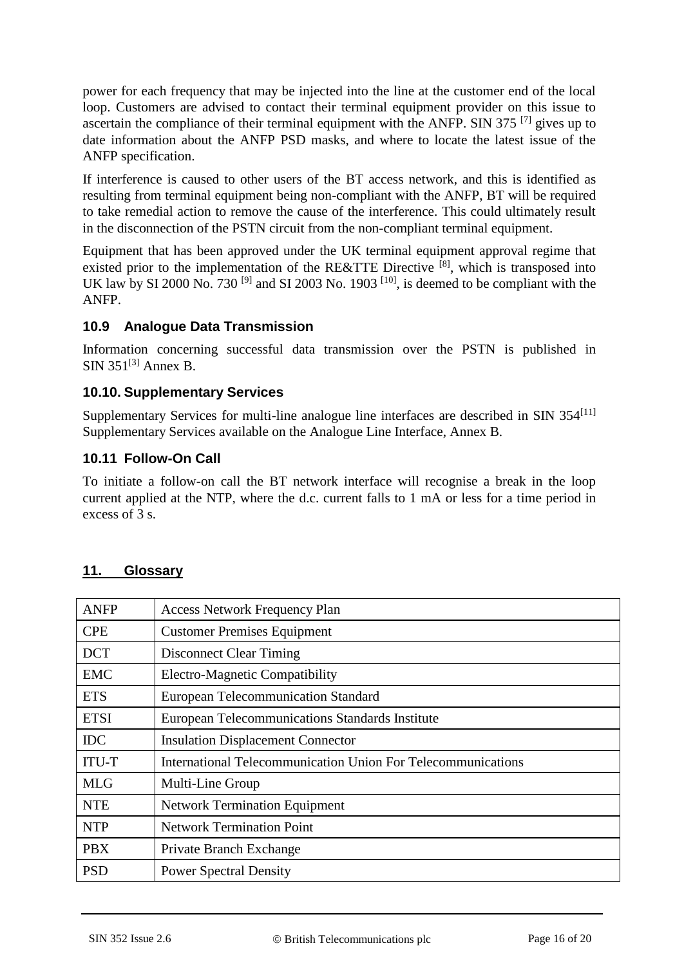power for each frequency that may be injected into the line at the customer end of the local loop. Customers are advised to contact their terminal equipment provider on this issue to ascertain the compliance of their terminal equipment with the ANFP. SIN 375  $^{[7]}$  $^{[7]}$  $^{[7]}$  gives up to date information about the ANFP PSD masks, and where to locate the latest issue of the ANFP specification.

If interference is caused to other users of the BT access network, and this is identified as resulting from terminal equipment being non-compliant with the ANFP, BT will be required to take remedial action to remove the cause of the interference. This could ultimately result in the disconnection of the PSTN circuit from the non-compliant terminal equipment.

Equipment that has been approved under the UK terminal equipment approval regime that existed prior to the implementation of the RE&TTE Directive [\[8\]](#page-16-7), which is transposed into UK law by SI 2000 No. 730<sup>[\[9\]](#page-16-8)</sup> and SI 2003 No. 1903<sup>[\[10\]](#page-16-9)</sup>, is deemed to be compliant with the ANFP.

#### **10.9 Analogue Data Transmission**

Information concerning successful data transmission over the PSTN is published in  $SIN$  351<sup>[\[3\]](#page-16-2)</sup> Annex B.

#### **10.10. Supplementary Services**

Supplementary Services for multi-line analogue line interfaces are described in SIN  $354^{[11]}$  $354^{[11]}$  $354^{[11]}$ Supplementary Services available on the Analogue Line Interface, Annex B.

#### **10.11 Follow-On Call**

To initiate a follow-on call the BT network interface will recognise a break in the loop current applied at the NTP, where the d.c. current falls to 1 mA or less for a time period in excess of 3 s.

| <b>ANFP</b>  | <b>Access Network Frequency Plan</b>                         |
|--------------|--------------------------------------------------------------|
| <b>CPE</b>   | <b>Customer Premises Equipment</b>                           |
| <b>DCT</b>   | <b>Disconnect Clear Timing</b>                               |
| <b>EMC</b>   | <b>Electro-Magnetic Compatibility</b>                        |
| <b>ETS</b>   | <b>European Telecommunication Standard</b>                   |
| <b>ETSI</b>  | <b>European Telecommunications Standards Institute</b>       |
| <b>IDC</b>   | <b>Insulation Displacement Connector</b>                     |
| <b>ITU-T</b> | International Telecommunication Union For Telecommunications |
| <b>MLG</b>   | Multi-Line Group                                             |
| <b>NTE</b>   | <b>Network Termination Equipment</b>                         |
| <b>NTP</b>   | <b>Network Termination Point</b>                             |
| <b>PBX</b>   | Private Branch Exchange                                      |
| <b>PSD</b>   | <b>Power Spectral Density</b>                                |

#### **11. Glossary**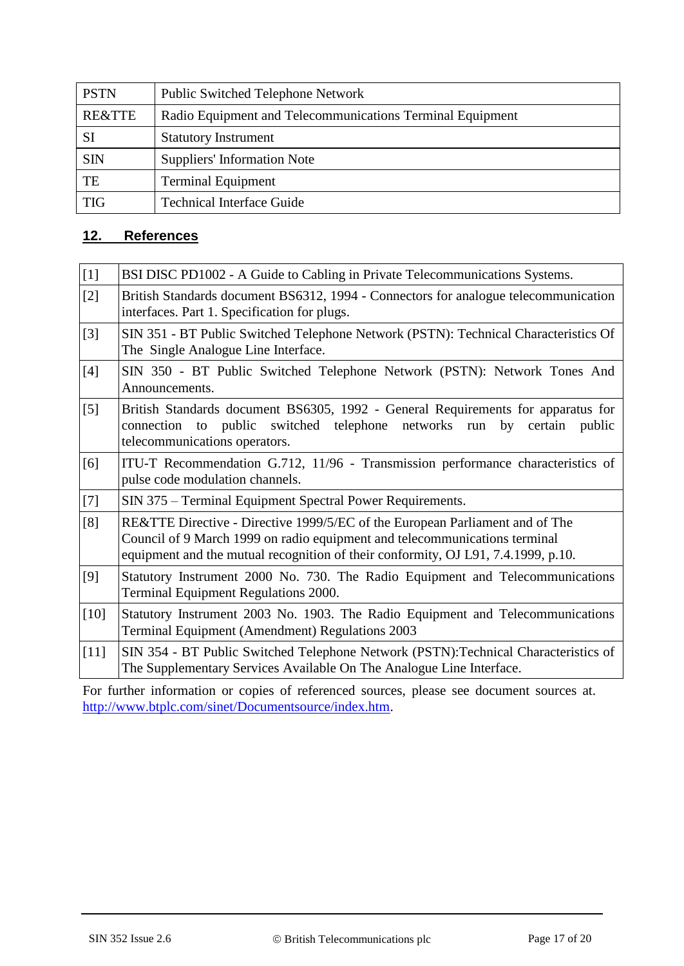| <b>PSTN</b> | <b>Public Switched Telephone Network</b>                  |
|-------------|-----------------------------------------------------------|
| RE&TTE      | Radio Equipment and Telecommunications Terminal Equipment |
| SI          | <b>Statutory Instrument</b>                               |
| <b>SIN</b>  | <b>Suppliers' Information Note</b>                        |
| TE          | <b>Terminal Equipment</b>                                 |
| <b>TIG</b>  | <b>Technical Interface Guide</b>                          |

## **12. References**

<span id="page-16-5"></span><span id="page-16-4"></span><span id="page-16-3"></span><span id="page-16-2"></span><span id="page-16-1"></span><span id="page-16-0"></span>

| $[1] % \begin{center} \includegraphics[width=\linewidth]{imagesSupplemental_3.png} \end{center} % \vspace*{-1em} \caption{The image shows the number of nodes of the two times, and the number of nodes of the two times.} \label{fig:example} %$ | BSI DISC PD1002 - A Guide to Cabling in Private Telecommunications Systems.                                                                                                                                                                     |
|---------------------------------------------------------------------------------------------------------------------------------------------------------------------------------------------------------------------------------------------------|-------------------------------------------------------------------------------------------------------------------------------------------------------------------------------------------------------------------------------------------------|
| $[2]$                                                                                                                                                                                                                                             | British Standards document BS6312, 1994 - Connectors for analogue telecommunication<br>interfaces. Part 1. Specification for plugs.                                                                                                             |
| $[3]$                                                                                                                                                                                                                                             | SIN 351 - BT Public Switched Telephone Network (PSTN): Technical Characteristics Of<br>The Single Analogue Line Interface.                                                                                                                      |
| $[4]$                                                                                                                                                                                                                                             | SIN 350 - BT Public Switched Telephone Network (PSTN): Network Tones And<br>Announcements.                                                                                                                                                      |
| $\lceil 5 \rceil$                                                                                                                                                                                                                                 | British Standards document BS6305, 1992 - General Requirements for apparatus for<br>networks run<br>connection to public switched telephone<br>certain<br>by<br>public<br>telecommunications operators.                                         |
| [6]                                                                                                                                                                                                                                               | ITU-T Recommendation G.712, 11/96 - Transmission performance characteristics of<br>pulse code modulation channels.                                                                                                                              |
| $[7]$                                                                                                                                                                                                                                             | SIN 375 - Terminal Equipment Spectral Power Requirements.                                                                                                                                                                                       |
| [8]                                                                                                                                                                                                                                               | RE&TTE Directive - Directive 1999/5/EC of the European Parliament and of The<br>Council of 9 March 1999 on radio equipment and telecommunications terminal<br>equipment and the mutual recognition of their conformity, OJ L91, 7.4.1999, p.10. |
| [9]                                                                                                                                                                                                                                               | Statutory Instrument 2000 No. 730. The Radio Equipment and Telecommunications<br>Terminal Equipment Regulations 2000.                                                                                                                           |
| $[10]$                                                                                                                                                                                                                                            | Statutory Instrument 2003 No. 1903. The Radio Equipment and Telecommunications<br>Terminal Equipment (Amendment) Regulations 2003                                                                                                               |
| $[11]$                                                                                                                                                                                                                                            | SIN 354 - BT Public Switched Telephone Network (PSTN): Technical Characteristics of<br>The Supplementary Services Available On The Analogue Line Interface.                                                                                     |

<span id="page-16-10"></span><span id="page-16-9"></span><span id="page-16-8"></span><span id="page-16-7"></span><span id="page-16-6"></span>For further information or copies of referenced sources, please see document sources at. [http://www.btplc.com/sinet/Documentsource/index.htm.](http://www.btplc.com/sinet/Documentsource/index.htm)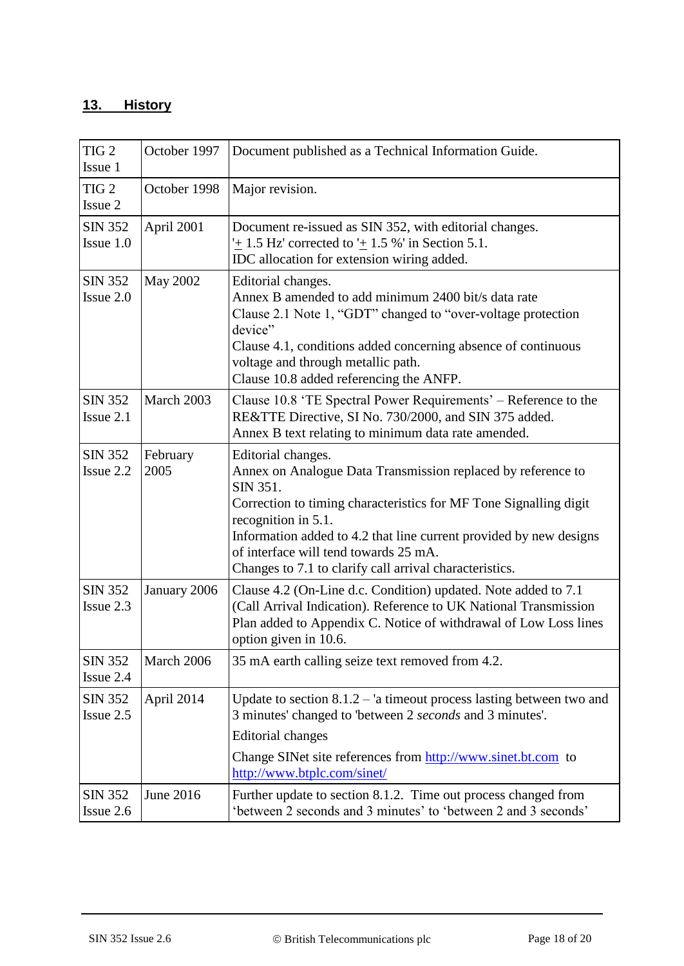# **13. History**

| TIG <sub>2</sub><br>Issue 1   | October 1997     | Document published as a Technical Information Guide.                                                                                                                                                                                                                                                                                                                 |
|-------------------------------|------------------|----------------------------------------------------------------------------------------------------------------------------------------------------------------------------------------------------------------------------------------------------------------------------------------------------------------------------------------------------------------------|
| TIG <sub>2</sub><br>Issue 2   | October 1998     | Major revision.                                                                                                                                                                                                                                                                                                                                                      |
| <b>SIN 352</b><br>Issue $1.0$ | April 2001       | Document re-issued as SIN 352, with editorial changes.<br>$\pm$ 1.5 Hz' corrected to $\pm$ 1.5 %' in Section 5.1.<br>IDC allocation for extension wiring added.                                                                                                                                                                                                      |
| <b>SIN 352</b><br>Issue 2.0   | <b>May 2002</b>  | Editorial changes.<br>Annex B amended to add minimum 2400 bit/s data rate<br>Clause 2.1 Note 1, "GDT" changed to "over-voltage protection<br>device"<br>Clause 4.1, conditions added concerning absence of continuous<br>voltage and through metallic path.<br>Clause 10.8 added referencing the ANFP.                                                               |
| <b>SIN 352</b><br>Issue $2.1$ | March 2003       | Clause 10.8 'TE Spectral Power Requirements' – Reference to the<br>RE&TTE Directive, SI No. 730/2000, and SIN 375 added.<br>Annex B text relating to minimum data rate amended.                                                                                                                                                                                      |
| <b>SIN 352</b><br>Issue 2.2   | February<br>2005 | Editorial changes.<br>Annex on Analogue Data Transmission replaced by reference to<br>SIN 351.<br>Correction to timing characteristics for MF Tone Signalling digit<br>recognition in 5.1.<br>Information added to 4.2 that line current provided by new designs<br>of interface will tend towards 25 mA.<br>Changes to 7.1 to clarify call arrival characteristics. |
| <b>SIN 352</b><br>Issue 2.3   | January 2006     | Clause 4.2 (On-Line d.c. Condition) updated. Note added to 7.1<br>(Call Arrival Indication). Reference to UK National Transmission<br>Plan added to Appendix C. Notice of withdrawal of Low Loss lines<br>option given in 10.6.                                                                                                                                      |
| <b>SIN 352</b><br>Issue 2.4   | March 2006       | 35 mA earth calling seize text removed from 4.2.                                                                                                                                                                                                                                                                                                                     |
| <b>SIN 352</b><br>Issue 2.5   | April 2014       | Update to section $8.1.2 - i$ a timeout process lasting between two and<br>3 minutes' changed to 'between 2 seconds and 3 minutes'.<br>Editorial changes<br>Change SINet site references from http://www.sinet.bt.com to<br>http://www.btplc.com/sinet/                                                                                                              |
| <b>SIN 352</b><br>Issue 2.6   | June 2016        | Further update to section 8.1.2. Time out process changed from<br>'between 2 seconds and 3 minutes' to 'between 2 and 3 seconds'                                                                                                                                                                                                                                     |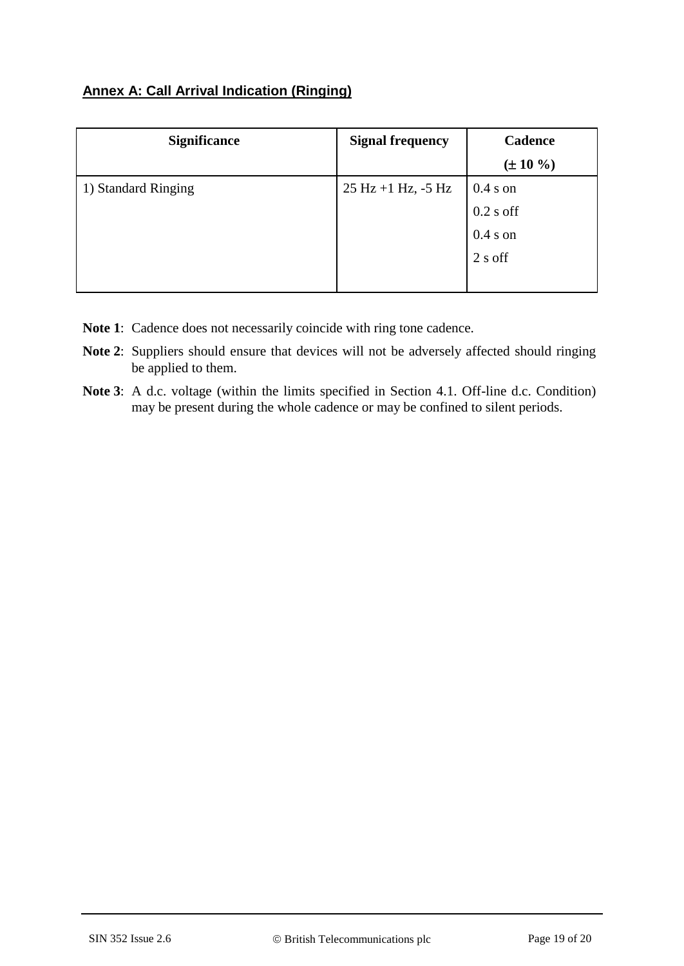# **Annex A: Call Arrival Indication (Ringing)**

| <b>Significance</b> | <b>Signal frequency</b> | <b>Cadence</b> |
|---------------------|-------------------------|----------------|
|                     |                         | $(\pm 10\% )$  |
| 1) Standard Ringing | $25 Hz + 1 Hz$ , -5 Hz  | $0.4 s$ on     |
|                     |                         | $0.2$ s off    |
|                     |                         | $0.4 s$ on     |
|                     |                         | 2 s off        |
|                     |                         |                |

- **Note 1**: Cadence does not necessarily coincide with ring tone cadence.
- **Note 2**: Suppliers should ensure that devices will not be adversely affected should ringing be applied to them.
- **Note 3**: A d.c. voltage (within the limits specified in Section 4.1. Off-line d.c. Condition) may be present during the whole cadence or may be confined to silent periods.